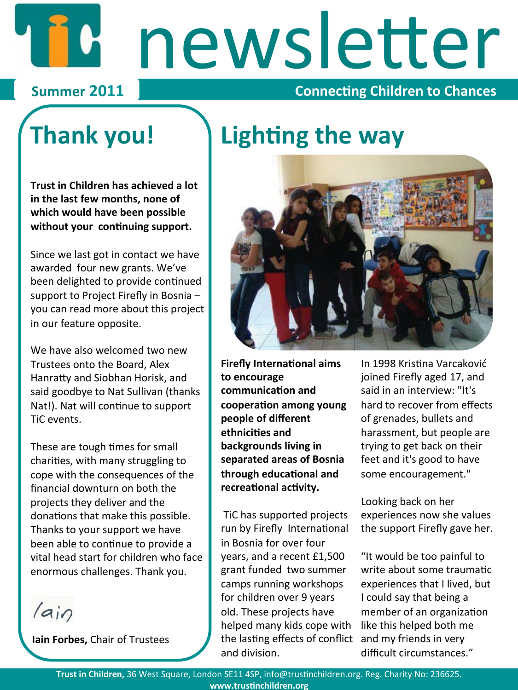# newsletter

#### Summer 2011

#### **Connecting Children to Chances**

## **Thank you!**

## **Lighting the way**

Trust in Children has achieved a lot in the last few months, none of which would have been possible without your continuing support.

Since we last got in contact we have awarded four new grants. We've been delighted to provide continued support to Project Firefly in Bosnia you can read more about this project in our feature opposite.

We have also welcomed two new Trustees onto the Board, Alex Hanratty and Siobhan Horisk, and said goodbye to Nat Sullivan (thanks Nat!). Nat will continue to support TiC events.

These are tough times for small charities, with many struggling to cope with the consequences of the financial downturn on both the projects they deliver and the donations that make this possible. Thanks to your support we have been able to continue to provide a vital head start for children who face enormous challenges. Thank you.

 $la$ 

lain Forbes, Chair of Trustees



**Firefly International aims** to encourage communication and cooperation among young people of different ethnicities and backgrounds living in separated areas of Bosnia through educational and recreational activity.

TiC has supported projects run by Firefly International in Bosnia for over four years, and a recent £1,500 grant funded two summer camps running workshops for children over 9 years old. These projects have helped many kids cope with the lasting effects of conflict and my friends in very and division.

In 1998 Kristina Varcaković joined Firefly aged 17, and said in an interview: "It's hard to recover from effects of grenades, bullets and harassment, but people are trying to get back on their feet and it's good to have some encouragement."

Looking back on her experiences now she values the support Firefly gave her.

"It would be too painful to write about some traumatic experiences that I lived, but I could say that being a member of an organization like this helped both me difficult circumstances."